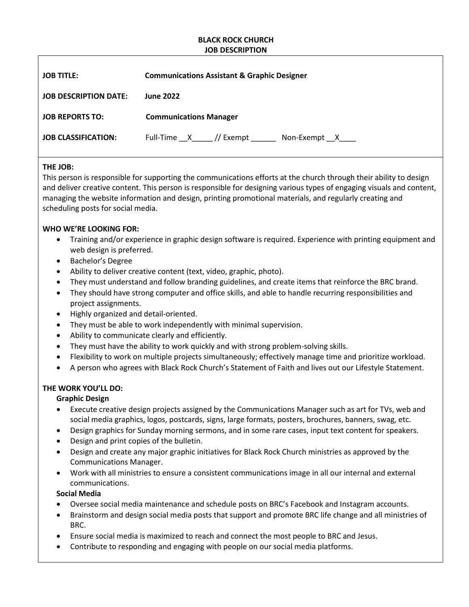#### **BLACK ROCK CHURCH JOB DESCRIPTION**

| <b>JOB TITLE:</b>            | <b>Communications Assistant &amp; Graphic Designer</b> |
|------------------------------|--------------------------------------------------------|
| <b>JOB DESCRIPTION DATE:</b> | <b>June 2022</b>                                       |
| <b>JOB REPORTS TO:</b>       | <b>Communications Manager</b>                          |
| <b>JOB CLASSIFICATION:</b>   | Full-Time X // Exempt Non-Exempt X                     |

### **THE JOB:**

This person is responsible for supporting the communications efforts at the church through their ability to design and deliver creative content. This person is responsible for designing various types of engaging visuals and content, managing the website information and design, printing promotional materials, and regularly creating and scheduling posts for social media.

# **WHO WE'RE LOOKING FOR:**

- Training and/or experience in graphic design software is required. Experience with printing equipment and web design is preferred.
- Bachelor's Degree
- Ability to deliver creative content (text, video, graphic, photo).
- They must understand and follow branding guidelines, and create items that reinforce the BRC brand.
- They should have strong computer and office skills, and able to handle recurring responsibilities and project assignments.
- Highly organized and detail-oriented.
- They must be able to work independently with minimal supervision.
- Ability to communicate clearly and efficiently.
- They must have the ability to work quickly and with strong problem-solving skills.
- Flexibility to work on multiple projects simultaneously; effectively manage time and prioritize workload.
- A person who agrees with Black Rock Church's Statement of Faith and lives out our Lifestyle Statement.

# **THE WORK YOU'LL DO:**

# **Graphic Design**

- Execute creative design projects assigned by the Communications Manager such as art for TVs, web and social media graphics, logos, postcards, signs, large formats, posters, brochures, banners, swag, etc.
- Design graphics for Sunday morning sermons, and in some rare cases, input text content for speakers.
- Design and print copies of the bulletin.
- Design and create any major graphic initiatives for Black Rock Church ministries as approved by the Communications Manager.
- Work with all ministries to ensure a consistent communications image in all our internal and external communications.

### **Social Media**

- Oversee social media maintenance and schedule posts on BRC's Facebook and Instagram accounts.
- Brainstorm and design social media posts that support and promote BRC life change and all ministries of BRC.
- Ensure social media is maximized to reach and connect the most people to BRC and Jesus.
- Contribute to responding and engaging with people on our social media platforms.